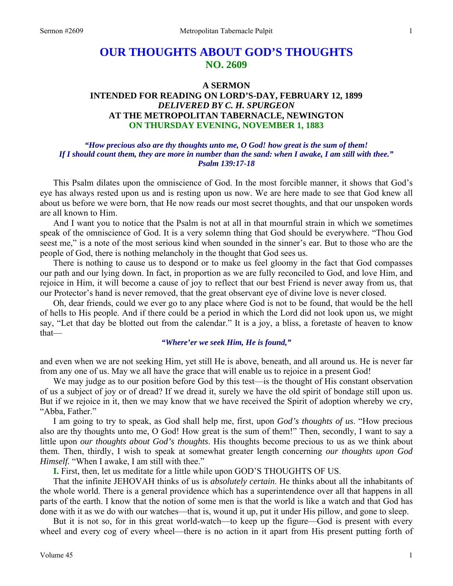# **OUR THOUGHTS ABOUT GOD'S THOUGHTS NO. 2609**

# **A SERMON INTENDED FOR READING ON LORD'S-DAY, FEBRUARY 12, 1899**  *DELIVERED BY C. H. SPURGEON*  **AT THE METROPOLITAN TABERNACLE, NEWINGTON ON THURSDAY EVENING, NOVEMBER 1, 1883**

# *"How precious also are thy thoughts unto me, O God! how great is the sum of them! If I should count them, they are more in number than the sand: when I awake, I am still with thee." Psalm 139:17-18*

This Psalm dilates upon the omniscience of God. In the most forcible manner, it shows that God's eye has always rested upon us and is resting upon us now. We are here made to see that God knew all about us before we were born, that He now reads our most secret thoughts, and that our unspoken words are all known to Him.

 And I want you to notice that the Psalm is not at all in that mournful strain in which we sometimes speak of the omniscience of God. It is a very solemn thing that God should be everywhere. "Thou God seest me," is a note of the most serious kind when sounded in the sinner's ear. But to those who are the people of God, there is nothing melancholy in the thought that God sees us.

 There is nothing to cause us to despond or to make us feel gloomy in the fact that God compasses our path and our lying down. In fact, in proportion as we are fully reconciled to God, and love Him, and rejoice in Him, it will become a cause of joy to reflect that our best Friend is never away from us, that our Protector's hand is never removed, that the great observant eye of divine love is never closed.

 Oh, dear friends, could we ever go to any place where God is not to be found, that would be the hell of hells to His people. And if there could be a period in which the Lord did not look upon us, we might say, "Let that day be blotted out from the calendar." It is a joy, a bliss, a foretaste of heaven to know that—

# *"Where'er we seek Him, He is found,"*

and even when we are not seeking Him, yet still He is above, beneath, and all around us. He is never far from any one of us. May we all have the grace that will enable us to rejoice in a present God!

We may judge as to our position before God by this test—is the thought of His constant observation of us a subject of joy or of dread? If we dread it, surely we have the old spirit of bondage still upon us. But if we rejoice in it, then we may know that we have received the Spirit of adoption whereby we cry, "Abba, Father."

 I am going to try to speak, as God shall help me, first, upon *God's thoughts of us*. "How precious also are thy thoughts unto me, O God! How great is the sum of them!" Then, secondly, I want to say a little upon *our thoughts about God's thoughts*. His thoughts become precious to us as we think about them. Then, thirdly, I wish to speak at somewhat greater length concerning *our thoughts upon God Himself.* "When I awake, I am still with thee."

**I.** First, then, let us meditate for a little while upon GOD'S THOUGHTS OF US.

 That the infinite JEHOVAH thinks of us is *absolutely certain*. He thinks about all the inhabitants of the whole world. There is a general providence which has a superintendence over all that happens in all parts of the earth. I know that the notion of some men is that the world is like a watch and that God has done with it as we do with our watches—that is, wound it up, put it under His pillow, and gone to sleep.

 But it is not so, for in this great world-watch—to keep up the figure—God is present with every wheel and every cog of every wheel—there is no action in it apart from His present putting forth of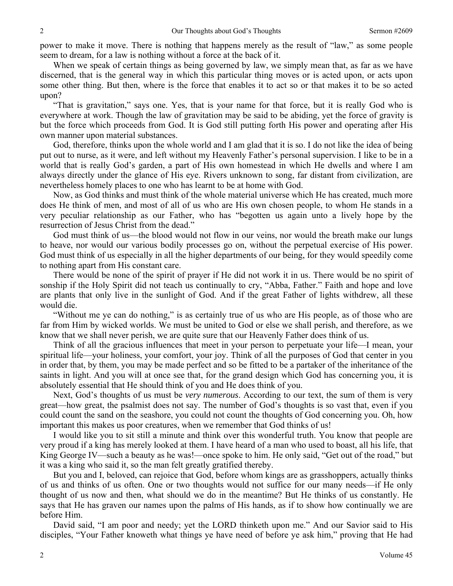power to make it move. There is nothing that happens merely as the result of "law," as some people seem to dream, for a law is nothing without a force at the back of it.

When we speak of certain things as being governed by law, we simply mean that, as far as we have discerned, that is the general way in which this particular thing moves or is acted upon, or acts upon some other thing. But then, where is the force that enables it to act so or that makes it to be so acted upon?

 "That is gravitation," says one. Yes, that is your name for that force, but it is really God who is everywhere at work. Though the law of gravitation may be said to be abiding, yet the force of gravity is but the force which proceeds from God. It is God still putting forth His power and operating after His own manner upon material substances.

 God, therefore, thinks upon the whole world and I am glad that it is so. I do not like the idea of being put out to nurse, as it were, and left without my Heavenly Father's personal supervision. I like to be in a world that is really God's garden, a part of His own homestead in which He dwells and where I am always directly under the glance of His eye. Rivers unknown to song, far distant from civilization, are nevertheless homely places to one who has learnt to be at home with God.

 Now, as God thinks and must think of the whole material universe which He has created, much more does He think of men, and most of all of us who are His own chosen people, to whom He stands in a very peculiar relationship as our Father, who has "begotten us again unto a lively hope by the resurrection of Jesus Christ from the dead."

 God must think of us—the blood would not flow in our veins, nor would the breath make our lungs to heave, nor would our various bodily processes go on, without the perpetual exercise of His power. God must think of us especially in all the higher departments of our being, for they would speedily come to nothing apart from His constant care.

 There would be none of the spirit of prayer if He did not work it in us. There would be no spirit of sonship if the Holy Spirit did not teach us continually to cry, "Abba, Father." Faith and hope and love are plants that only live in the sunlight of God. And if the great Father of lights withdrew, all these would die.

 "Without me ye can do nothing," is as certainly true of us who are His people, as of those who are far from Him by wicked worlds. We must be united to God or else we shall perish, and therefore, as we know that we shall never perish, we are quite sure that our Heavenly Father does think of us.

 Think of all the gracious influences that meet in your person to perpetuate your life—I mean, your spiritual life—your holiness, your comfort, your joy. Think of all the purposes of God that center in you in order that, by them, you may be made perfect and so be fitted to be a partaker of the inheritance of the saints in light. And you will at once see that, for the grand design which God has concerning you, it is absolutely essential that He should think of you and He does think of you.

 Next, God's thoughts of us must be *very numerous*. According to our text, the sum of them is very great—how great, the psalmist does not say. The number of God's thoughts is so vast that, even if you could count the sand on the seashore, you could not count the thoughts of God concerning you. Oh, how important this makes us poor creatures, when we remember that God thinks of us!

 I would like you to sit still a minute and think over this wonderful truth. You know that people are very proud if a king has merely looked at them. I have heard of a man who used to boast, all his life, that King George IV—such a beauty as he was!—once spoke to him. He only said, "Get out of the road," but it was a king who said it, so the man felt greatly gratified thereby.

 But you and I, beloved, can rejoice that God, before whom kings are as grasshoppers, actually thinks of us and thinks of us often. One or two thoughts would not suffice for our many needs—if He only thought of us now and then, what should we do in the meantime? But He thinks of us constantly. He says that He has graven our names upon the palms of His hands, as if to show how continually we are before Him.

 David said, "I am poor and needy; yet the LORD thinketh upon me." And our Savior said to His disciples, "Your Father knoweth what things ye have need of before ye ask him," proving that He had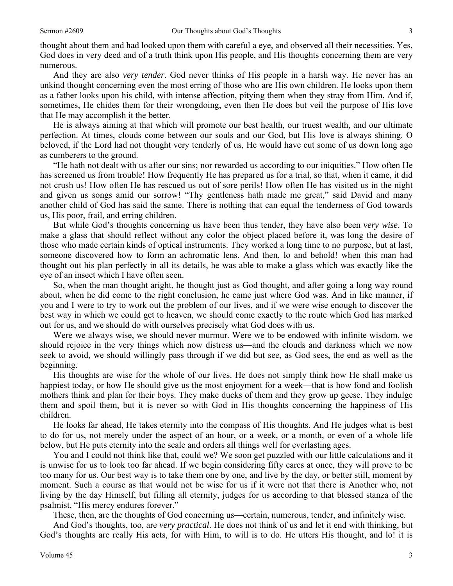thought about them and had looked upon them with careful a eye, and observed all their necessities. Yes, God does in very deed and of a truth think upon His people, and His thoughts concerning them are very numerous.

 And they are also *very tender*. God never thinks of His people in a harsh way. He never has an unkind thought concerning even the most erring of those who are His own children. He looks upon them as a father looks upon his child, with intense affection, pitying them when they stray from Him. And if, sometimes, He chides them for their wrongdoing, even then He does but veil the purpose of His love that He may accomplish it the better.

 He is always aiming at that which will promote our best health, our truest wealth, and our ultimate perfection. At times, clouds come between our souls and our God, but His love is always shining. O beloved, if the Lord had not thought very tenderly of us, He would have cut some of us down long ago as cumberers to the ground.

 "He hath not dealt with us after our sins; nor rewarded us according to our iniquities." How often He has screened us from trouble! How frequently He has prepared us for a trial, so that, when it came, it did not crush us! How often He has rescued us out of sore perils! How often He has visited us in the night and given us songs amid our sorrow! "Thy gentleness hath made me great," said David and many another child of God has said the same. There is nothing that can equal the tenderness of God towards us, His poor, frail, and erring children.

 But while God's thoughts concerning us have been thus tender, they have also been *very wise*. To make a glass that should reflect without any color the object placed before it, was long the desire of those who made certain kinds of optical instruments. They worked a long time to no purpose, but at last, someone discovered how to form an achromatic lens. And then, lo and behold! when this man had thought out his plan perfectly in all its details, he was able to make a glass which was exactly like the eye of an insect which I have often seen.

 So, when the man thought aright, he thought just as God thought, and after going a long way round about, when he did come to the right conclusion, he came just where God was. And in like manner, if you and I were to try to work out the problem of our lives, and if we were wise enough to discover the best way in which we could get to heaven, we should come exactly to the route which God has marked out for us, and we should do with ourselves precisely what God does with us.

 Were we always wise, we should never murmur. Were we to be endowed with infinite wisdom, we should rejoice in the very things which now distress us—and the clouds and darkness which we now seek to avoid, we should willingly pass through if we did but see, as God sees, the end as well as the beginning.

 His thoughts are wise for the whole of our lives. He does not simply think how He shall make us happiest today, or how He should give us the most enjoyment for a week—that is how fond and foolish mothers think and plan for their boys. They make ducks of them and they grow up geese. They indulge them and spoil them, but it is never so with God in His thoughts concerning the happiness of His children.

 He looks far ahead, He takes eternity into the compass of His thoughts. And He judges what is best to do for us, not merely under the aspect of an hour, or a week, or a month, or even of a whole life below, but He puts eternity into the scale and orders all things well for everlasting ages.

 You and I could not think like that, could we? We soon get puzzled with our little calculations and it is unwise for us to look too far ahead. If we begin considering fifty cares at once, they will prove to be too many for us. Our best way is to take them one by one, and live by the day, or better still, moment by moment. Such a course as that would not be wise for us if it were not that there is Another who, not living by the day Himself, but filling all eternity, judges for us according to that blessed stanza of the psalmist, "His mercy endures forever."

These, then, are the thoughts of God concerning us—certain, numerous, tender, and infinitely wise.

 And God's thoughts, too, are *very practical*. He does not think of us and let it end with thinking, but God's thoughts are really His acts, for with Him, to will is to do. He utters His thought, and lo! it is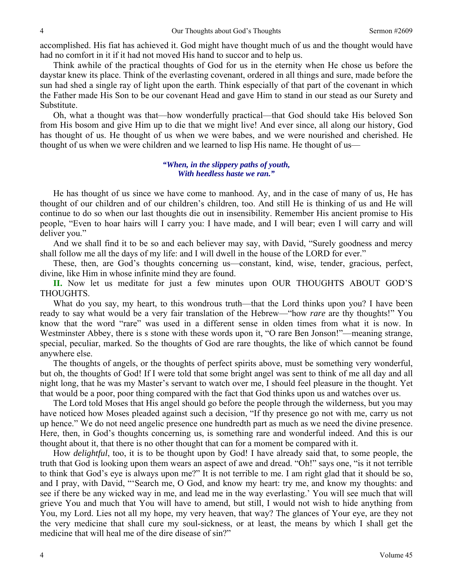accomplished. His fiat has achieved it. God might have thought much of us and the thought would have had no comfort in it if it had not moved His hand to succor and to help us.

 Think awhile of the practical thoughts of God for us in the eternity when He chose us before the daystar knew its place. Think of the everlasting covenant, ordered in all things and sure, made before the sun had shed a single ray of light upon the earth. Think especially of that part of the covenant in which the Father made His Son to be our covenant Head and gave Him to stand in our stead as our Surety and Substitute.

 Oh, what a thought was that—how wonderfully practical—that God should take His beloved Son from His bosom and give Him up to die that we might live! And ever since, all along our history, God has thought of us. He thought of us when we were babes, and we were nourished and cherished. He thought of us when we were children and we learned to lisp His name. He thought of us—

# *"When, in the slippery paths of youth, With heedless haste we ran."*

 He has thought of us since we have come to manhood. Ay, and in the case of many of us, He has thought of our children and of our children's children, too. And still He is thinking of us and He will continue to do so when our last thoughts die out in insensibility. Remember His ancient promise to His people, "Even to hoar hairs will I carry you: I have made, and I will bear; even I will carry and will deliver you."

 And we shall find it to be so and each believer may say, with David, "Surely goodness and mercy shall follow me all the days of my life: and I will dwell in the house of the LORD for ever."

 These, then, are God's thoughts concerning us—constant, kind, wise, tender, gracious, perfect, divine, like Him in whose infinite mind they are found.

**II.** Now let us meditate for just a few minutes upon OUR THOUGHTS ABOUT GOD'S THOUGHTS.

What do you say, my heart, to this wondrous truth—that the Lord thinks upon you? I have been ready to say what would be a very fair translation of the Hebrew—"how *rare* are thy thoughts!" You know that the word "rare" was used in a different sense in olden times from what it is now. In Westminster Abbey, there is s stone with these words upon it, "O rare Ben Jonson!"—meaning strange, special, peculiar, marked. So the thoughts of God are rare thoughts, the like of which cannot be found anywhere else.

 The thoughts of angels, or the thoughts of perfect spirits above, must be something very wonderful, but oh, the thoughts of God! If I were told that some bright angel was sent to think of me all day and all night long, that he was my Master's servant to watch over me, I should feel pleasure in the thought. Yet that would be a poor, poor thing compared with the fact that God thinks upon us and watches over us.

 The Lord told Moses that His angel should go before the people through the wilderness, but you may have noticed how Moses pleaded against such a decision, "If thy presence go not with me, carry us not up hence." We do not need angelic presence one hundredth part as much as we need the divine presence. Here, then, in God's thoughts concerning us, is something rare and wonderful indeed. And this is our thought about it, that there is no other thought that can for a moment be compared with it.

 How *delightful*, too, it is to be thought upon by God! I have already said that, to some people, the truth that God is looking upon them wears an aspect of awe and dread. "Oh!" says one, "is it not terrible to think that God's eye is always upon me?" It is not terrible to me. I am right glad that it should be so, and I pray, with David, "'Search me, O God, and know my heart: try me, and know my thoughts: and see if there be any wicked way in me, and lead me in the way everlasting.' You will see much that will grieve You and much that You will have to amend, but still, I would not wish to hide anything from You, my Lord. Lies not all my hope, my very heaven, that way? The glances of Your eye, are they not the very medicine that shall cure my soul-sickness, or at least, the means by which I shall get the medicine that will heal me of the dire disease of sin?"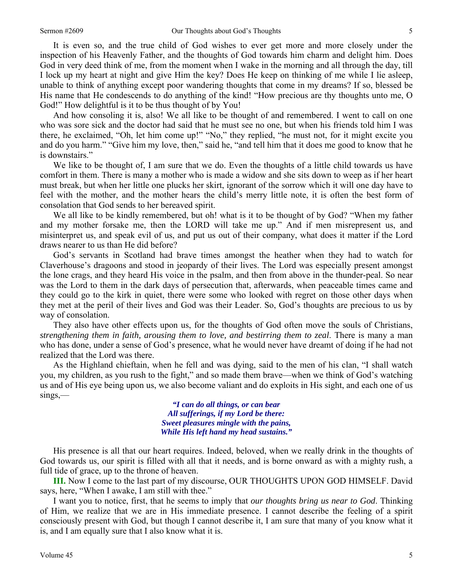It is even so, and the true child of God wishes to ever get more and more closely under the inspection of his Heavenly Father, and the thoughts of God towards him charm and delight him. Does God in very deed think of me, from the moment when I wake in the morning and all through the day, till I lock up my heart at night and give Him the key? Does He keep on thinking of me while I lie asleep, unable to think of anything except poor wandering thoughts that come in my dreams? If so, blessed be His name that He condescends to do anything of the kind! "How precious are thy thoughts unto me, O God!" How delightful is it to be thus thought of by You!

 And how consoling it is, also! We all like to be thought of and remembered. I went to call on one who was sore sick and the doctor had said that he must see no one, but when his friends told him I was there, he exclaimed, "Oh, let him come up!" "No," they replied, "he must not, for it might excite you and do you harm." "Give him my love, then," said he, "and tell him that it does me good to know that he is downstairs."

We like to be thought of, I am sure that we do. Even the thoughts of a little child towards us have comfort in them. There is many a mother who is made a widow and she sits down to weep as if her heart must break, but when her little one plucks her skirt, ignorant of the sorrow which it will one day have to feel with the mother, and the mother hears the child's merry little note, it is often the best form of consolation that God sends to her bereaved spirit.

We all like to be kindly remembered, but oh! what is it to be thought of by God? "When my father and my mother forsake me, then the LORD will take me up." And if men misrepresent us, and misinterpret us, and speak evil of us, and put us out of their company, what does it matter if the Lord draws nearer to us than He did before?

 God's servants in Scotland had brave times amongst the heather when they had to watch for Claverhouse's dragoons and stood in jeopardy of their lives. The Lord was especially present amongst the lone crags, and they heard His voice in the psalm, and then from above in the thunder-peal. So near was the Lord to them in the dark days of persecution that, afterwards, when peaceable times came and they could go to the kirk in quiet, there were some who looked with regret on those other days when they met at the peril of their lives and God was their Leader. So, God's thoughts are precious to us by way of consolation.

 They also have other effects upon us, for the thoughts of God often move the souls of Christians, *strengthening them in faith, arousing them to love, and bestirring them to zeal*. There is many a man who has done, under a sense of God's presence, what he would never have dreamt of doing if he had not realized that the Lord was there.

 As the Highland chieftain, when he fell and was dying, said to the men of his clan, "I shall watch you, my children, as you rush to the fight," and so made them brave—when we think of God's watching us and of His eye being upon us, we also become valiant and do exploits in His sight, and each one of us sings,—

> *"I can do all things, or can bear All sufferings, if my Lord be there: Sweet pleasures mingle with the pains, While His left hand my head sustains."*

 His presence is all that our heart requires. Indeed, beloved, when we really drink in the thoughts of God towards us, our spirit is filled with all that it needs, and is borne onward as with a mighty rush, a full tide of grace, up to the throne of heaven.

**III.** Now I come to the last part of my discourse, OUR THOUGHTS UPON GOD HIMSELF. David says, here, "When I awake, I am still with thee."

 I want you to notice, first, that he seems to imply that *our thoughts bring us near to God*. Thinking of Him, we realize that we are in His immediate presence. I cannot describe the feeling of a spirit consciously present with God, but though I cannot describe it, I am sure that many of you know what it is, and I am equally sure that I also know what it is.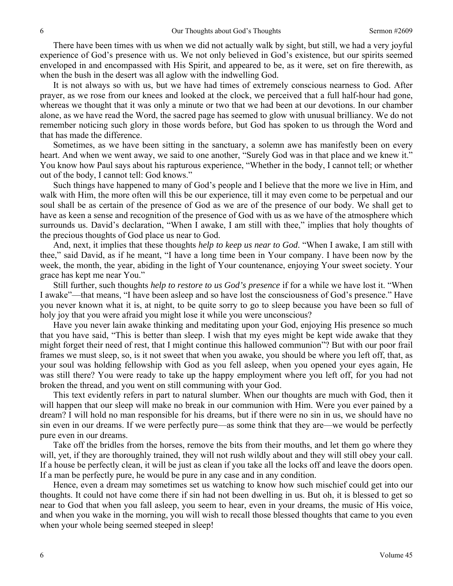There have been times with us when we did not actually walk by sight, but still, we had a very joyful experience of God's presence with us. We not only believed in God's existence, but our spirits seemed enveloped in and encompassed with His Spirit, and appeared to be, as it were, set on fire therewith, as when the bush in the desert was all aglow with the indwelling God.

 It is not always so with us, but we have had times of extremely conscious nearness to God. After prayer, as we rose from our knees and looked at the clock, we perceived that a full half-hour had gone, whereas we thought that it was only a minute or two that we had been at our devotions. In our chamber alone, as we have read the Word, the sacred page has seemed to glow with unusual brilliancy. We do not remember noticing such glory in those words before, but God has spoken to us through the Word and that has made the difference.

 Sometimes, as we have been sitting in the sanctuary, a solemn awe has manifestly been on every heart. And when we went away, we said to one another, "Surely God was in that place and we knew it." You know how Paul says about his rapturous experience, "Whether in the body, I cannot tell; or whether out of the body, I cannot tell: God knows."

 Such things have happened to many of God's people and I believe that the more we live in Him, and walk with Him, the more often will this be our experience, till it may even come to be perpetual and our soul shall be as certain of the presence of God as we are of the presence of our body. We shall get to have as keen a sense and recognition of the presence of God with us as we have of the atmosphere which surrounds us. David's declaration, "When I awake, I am still with thee," implies that holy thoughts of the precious thoughts of God place us near to God.

 And, next, it implies that these thoughts *help to keep us near to God*. "When I awake, I am still with thee," said David, as if he meant, "I have a long time been in Your company. I have been now by the week, the month, the year, abiding in the light of Your countenance, enjoying Your sweet society. Your grace has kept me near You."

 Still further, such thoughts *help to restore to us God's presence* if for a while we have lost it. "When I awake"—that means, "I have been asleep and so have lost the consciousness of God's presence." Have you never known what it is, at night, to be quite sorry to go to sleep because you have been so full of holy joy that you were afraid you might lose it while you were unconscious?

 Have you never lain awake thinking and meditating upon your God, enjoying His presence so much that you have said, "This is better than sleep. I wish that my eyes might be kept wide awake that they might forget their need of rest, that I might continue this hallowed communion"? But with our poor frail frames we must sleep, so, is it not sweet that when you awake, you should be where you left off, that, as your soul was holding fellowship with God as you fell asleep, when you opened your eyes again, He was still there? You were ready to take up the happy employment where you left off, for you had not broken the thread, and you went on still communing with your God.

 This text evidently refers in part to natural slumber. When our thoughts are much with God, then it will happen that our sleep will make no break in our communion with Him. Were you ever pained by a dream? I will hold no man responsible for his dreams, but if there were no sin in us, we should have no sin even in our dreams. If we were perfectly pure—as some think that they are—we would be perfectly pure even in our dreams.

 Take off the bridles from the horses, remove the bits from their mouths, and let them go where they will, yet, if they are thoroughly trained, they will not rush wildly about and they will still obey your call. If a house be perfectly clean, it will be just as clean if you take all the locks off and leave the doors open. If a man be perfectly pure, he would be pure in any case and in any condition.

 Hence, even a dream may sometimes set us watching to know how such mischief could get into our thoughts. It could not have come there if sin had not been dwelling in us. But oh, it is blessed to get so near to God that when you fall asleep, you seem to hear, even in your dreams, the music of His voice, and when you wake in the morning, you will wish to recall those blessed thoughts that came to you even when your whole being seemed steeped in sleep!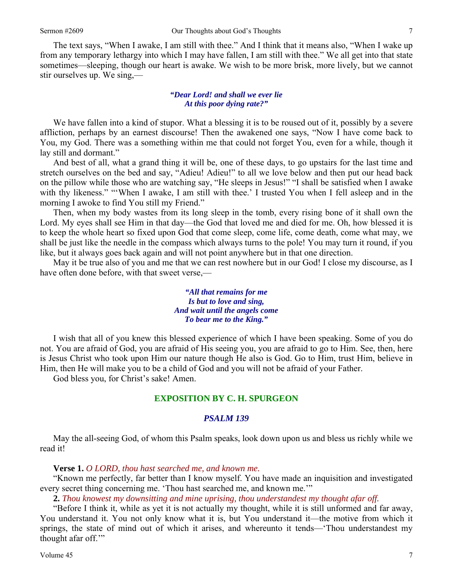The text says, "When I awake, I am still with thee." And I think that it means also, "When I wake up from any temporary lethargy into which I may have fallen, I am still with thee." We all get into that state sometimes—sleeping, though our heart is awake. We wish to be more brisk, more lively, but we cannot stir ourselves up. We sing,—

# *"Dear Lord! and shall we ever lie At this poor dying rate?"*

We have fallen into a kind of stupor. What a blessing it is to be roused out of it, possibly by a severe affliction, perhaps by an earnest discourse! Then the awakened one says, "Now I have come back to You, my God. There was a something within me that could not forget You, even for a while, though it lay still and dormant."

 And best of all, what a grand thing it will be, one of these days, to go upstairs for the last time and stretch ourselves on the bed and say, "Adieu! Adieu!" to all we love below and then put our head back on the pillow while those who are watching say, "He sleeps in Jesus!" "I shall be satisfied when I awake with thy likeness." "When I awake, I am still with thee.' I trusted You when I fell asleep and in the morning I awoke to find You still my Friend."

 Then, when my body wastes from its long sleep in the tomb, every rising bone of it shall own the Lord. My eyes shall see Him in that day—the God that loved me and died for me. Oh, how blessed it is to keep the whole heart so fixed upon God that come sleep, come life, come death, come what may, we shall be just like the needle in the compass which always turns to the pole! You may turn it round, if you like, but it always goes back again and will not point anywhere but in that one direction.

 May it be true also of you and me that we can rest nowhere but in our God! I close my discourse, as I have often done before, with that sweet verse,—

> *"All that remains for me Is but to love and sing, And wait until the angels come To bear me to the King."*

 I wish that all of you knew this blessed experience of which I have been speaking. Some of you do not. You are afraid of God, you are afraid of His seeing you, you are afraid to go to Him. See, then, here is Jesus Christ who took upon Him our nature though He also is God. Go to Him, trust Him, believe in Him, then He will make you to be a child of God and you will not be afraid of your Father.

God bless you, for Christ's sake! Amen.

# **EXPOSITION BY C. H. SPURGEON**

#### *PSALM 139*

May the all-seeing God, of whom this Psalm speaks, look down upon us and bless us richly while we read it!

# **Verse 1.** *O LORD, thou hast searched me, and known me.*

 "Known me perfectly, far better than I know myself. You have made an inquisition and investigated every secret thing concerning me. 'Thou hast searched me, and known me.'"

**2.** *Thou knowest my downsitting and mine uprising, thou understandest my thought afar off.* 

 "Before I think it, while as yet it is not actually my thought, while it is still unformed and far away, You understand it. You not only know what it is, but You understand it—the motive from which it springs, the state of mind out of which it arises, and whereunto it tends—'Thou understandest my thought afar off."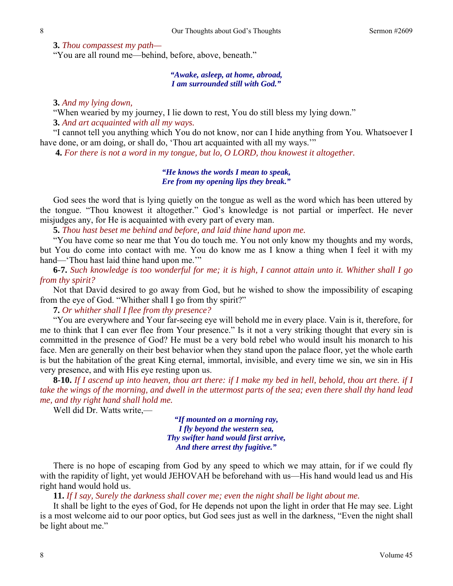**3.** *Thou compassest my path—*

"You are all round me—behind, before, above, beneath."

# *"Awake, asleep, at home, abroad, I am surrounded still with God."*

**3.** *And my lying down,* 

"When wearied by my journey, I lie down to rest, You do still bless my lying down."

**3.** *And art acquainted with all my ways.* 

"I cannot tell you anything which You do not know, nor can I hide anything from You. Whatsoever I have done, or am doing, or shall do, 'Thou art acquainted with all my ways.'"

**4.** *For there is not a word in my tongue, but lo, O LORD, thou knowest it altogether.* 

# *"He knows the words I mean to speak, Ere from my opening lips they break."*

 God sees the word that is lying quietly on the tongue as well as the word which has been uttered by the tongue. "Thou knowest it altogether." God's knowledge is not partial or imperfect. He never misjudges any, for He is acquainted with every part of every man.

**5.** *Thou hast beset me behind and before, and laid thine hand upon me.* 

"You have come so near me that You do touch me. You not only know my thoughts and my words, but You do come into contact with me. You do know me as I know a thing when I feel it with my hand—'Thou hast laid thine hand upon me.""

**6-7.** *Such knowledge is too wonderful for me; it is high, I cannot attain unto it. Whither shall I go from thy spirit?* 

Not that David desired to go away from God, but he wished to show the impossibility of escaping from the eye of God. "Whither shall I go from thy spirit?"

**7.** *Or whither shall I flee from thy presence?* 

"You are everywhere and Your far-seeing eye will behold me in every place. Vain is it, therefore, for me to think that I can ever flee from Your presence." Is it not a very striking thought that every sin is committed in the presence of God? He must be a very bold rebel who would insult his monarch to his face. Men are generally on their best behavior when they stand upon the palace floor, yet the whole earth is but the habitation of the great King eternal, immortal, invisible, and every time we sin, we sin in His very presence, and with His eye resting upon us.

**8-10.** *If I ascend up into heaven, thou art there: if I make my bed in hell, behold, thou art there. if I take the wings of the morning, and dwell in the uttermost parts of the sea; even there shall thy hand lead me, and thy right hand shall hold me.* 

Well did Dr. Watts write,—

*"If mounted on a morning ray, I fly beyond the western sea, Thy swifter hand would first arrive, And there arrest thy fugitive."* 

 There is no hope of escaping from God by any speed to which we may attain, for if we could fly with the rapidity of light, yet would JEHOVAH be beforehand with us—His hand would lead us and His right hand would hold us.

**11.** *If I say, Surely the darkness shall cover me; even the night shall be light about me.* 

It shall be light to the eyes of God, for He depends not upon the light in order that He may see. Light is a most welcome aid to our poor optics, but God sees just as well in the darkness, "Even the night shall be light about me."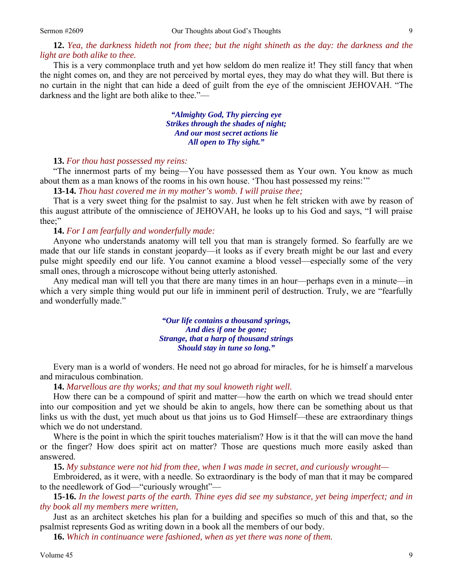**12.** *Yea, the darkness hideth not from thee; but the night shineth as the day: the darkness and the light are both alike to thee.*

This is a very commonplace truth and yet how seldom do men realize it! They still fancy that when the night comes on, and they are not perceived by mortal eyes, they may do what they will. But there is no curtain in the night that can hide a deed of guilt from the eye of the omniscient JEHOVAH. "The darkness and the light are both alike to thee."—

> *"Almighty God, Thy piercing eye Strikes through the shades of night; And our most secret actions lie All open to Thy sight."*

# **13.** *For thou hast possessed my reins:*

"The innermost parts of my being—You have possessed them as Your own. You know as much about them as a man knows of the rooms in his own house. 'Thou hast possessed my reins:'"

**13-14.** *Thou hast covered me in my mother's womb. I will praise thee;* 

That is a very sweet thing for the psalmist to say. Just when he felt stricken with awe by reason of this august attribute of the omniscience of JEHOVAH, he looks up to his God and says, "I will praise thee;"

# **14.** *For I am fearfully and wonderfully made:*

Anyone who understands anatomy will tell you that man is strangely formed. So fearfully are we made that our life stands in constant jeopardy—it looks as if every breath might be our last and every pulse might speedily end our life. You cannot examine a blood vessel—especially some of the very small ones, through a microscope without being utterly astonished.

 Any medical man will tell you that there are many times in an hour—perhaps even in a minute—in which a very simple thing would put our life in imminent peril of destruction. Truly, we are "fearfully and wonderfully made."

> *"Our life contains a thousand springs, And dies if one be gone; Strange, that a harp of thousand strings Should stay in tune so long."*

 Every man is a world of wonders. He need not go abroad for miracles, for he is himself a marvelous and miraculous combination.

**14.** *Marvellous are thy works; and that my soul knoweth right well.* 

How there can be a compound of spirit and matter—how the earth on which we tread should enter into our composition and yet we should be akin to angels, how there can be something about us that links us with the dust, yet much about us that joins us to God Himself—these are extraordinary things which we do not understand.

 Where is the point in which the spirit touches materialism? How is it that the will can move the hand or the finger? How does spirit act on matter? Those are questions much more easily asked than answered.

**15.** *My substance were not hid from thee, when I was made in secret, and curiously wrought—* 

Embroidered, as it were, with a needle. So extraordinary is the body of man that it may be compared to the needlework of God—"curiously wrought"—

**15-16.** *In the lowest parts of the earth. Thine eyes did see my substance, yet being imperfect; and in thy book all my members mere written,* 

Just as an architect sketches his plan for a building and specifies so much of this and that, so the psalmist represents God as writing down in a book all the members of our body.

**16.** *Which in continuance were fashioned, when as yet there was none of them.*